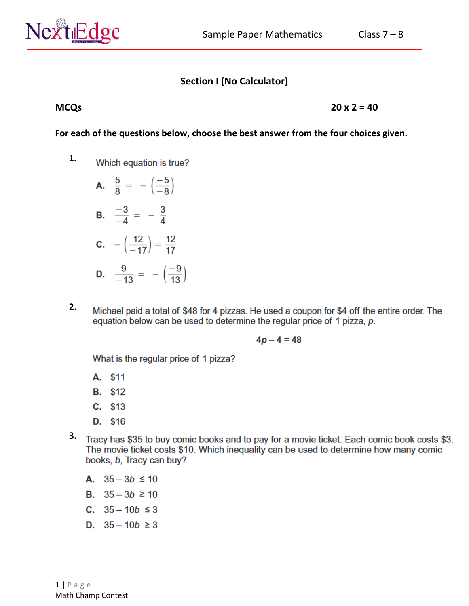# **Section I (No Calculator)**

**MCQs 20 x 2 = 40** 

**For each of the questions below, choose the best answer from the four choices given.**

- **1.** Which equation is true?
	- A.  $\frac{5}{8} = -\left(\frac{-5}{-8}\right)$ **B.**  $\frac{-3}{-4} = -\frac{3}{4}$ **c.**  $- \left( \frac{12}{-17} \right) = \frac{12}{17}$ **D.**  $\frac{9}{-13} = -\left(\frac{-9}{13}\right)$
- **2.** Michael paid a total of \$48 for 4 pizzas. He used a coupon for \$4 off the entire order. The equation below can be used to determine the regular price of 1 pizza, p.

$$
4p-4=48
$$

What is the regular price of 1 pizza?

- A. \$11
- **B.** \$12
- $C.$  \$13
- D. \$16
- 3. Tracy has \$35 to buy comic books and to pay for a movie ticket. Each comic book costs \$3. The movie ticket costs \$10. Which inequality can be used to determine how many comic books, b, Tracy can buy?
	- A.  $35-3b \le 10$
	- **B.**  $35 3b \ge 10$
	- **C.**  $35 10b \le 3$
	- D.  $35 10b \ge 3$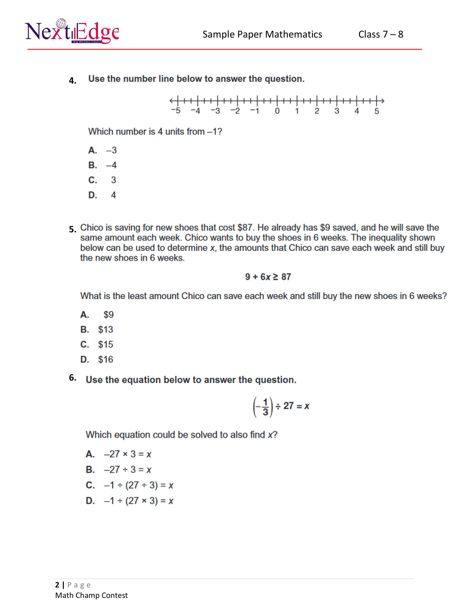

Class  $7 - 8$ 

Use the number line below to answer the question. 4.

Which number is 4 units from -1?

- $A. -3$
- $B. -4$
- $C. 3$
- D.  $\boldsymbol{4}$
- 5. Chico is saving for new shoes that cost \$87. He already has \$9 saved, and he will save the same amount each week. Chico wants to buy the shoes in 6 weeks. The inequality shown below can be used to determine x, the amounts that Chico can save each week and still buy the new shoes in 6 weeks.

 $9 + 6x \ge 87$ 

What is the least amount Chico can save each week and still buy the new shoes in 6 weeks?

- \$9 A. .
- **B.** \$13
- $C.$  \$15
- D. \$16
- 6. Use the equation below to answer the question.

$$
\left(-\frac{1}{3}\right) \div 27 = x
$$

Which equation could be solved to also find x?

- A.  $-27 \times 3 = x$
- **B.**  $-27 \div 3 = x$
- **C.**  $-1 \div (27 \div 3) = x$
- **D.**  $-1 \div (27 \times 3) = x$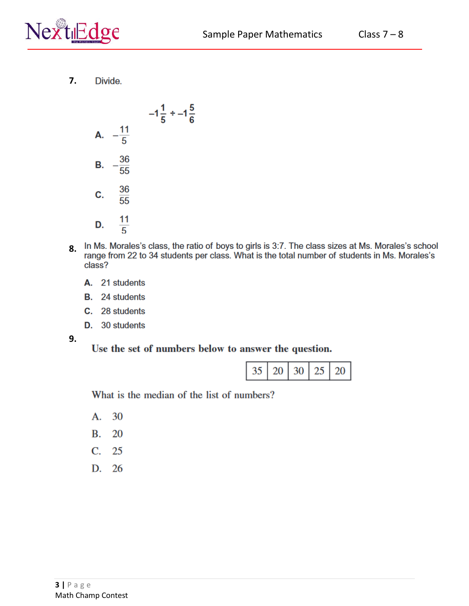

**7.** Divide.



- In Ms. Morales's class, the ratio of boys to girls is 3:7. The class sizes at Ms. Morales's school **8.** range from 22 to 34 students per class. What is the total number of students in Ms. Morales's class?
	- A. 21 students
	- **B.** 24 students
	- C. 28 students
	- D. 30 students
- **9.**

Use the set of numbers below to answer the question.

| 20<br>n. | 30 | 7۰ | 20. |
|----------|----|----|-----|
|----------|----|----|-----|

What is the median of the list of numbers?

- A. 30
- **B.** 20
- $C. 25$
- D. 26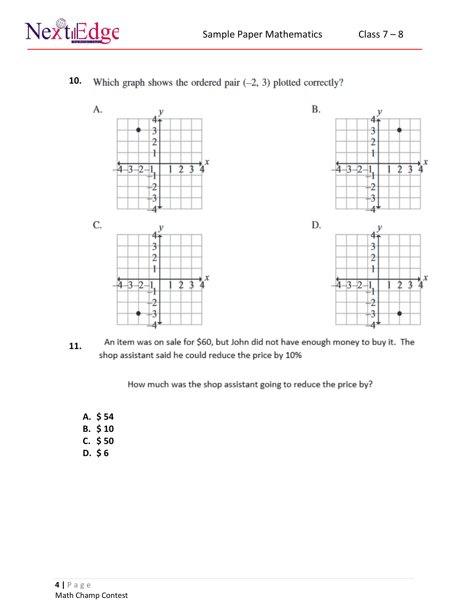



 $10.$ Which graph shows the ordered pair  $(-2, 3)$  plotted correctly?

An item was on sale for \$60, but John did not have enough money to buy it. The 11. shop assistant said he could reduce the price by 10%

How much was the shop assistant going to reduce the price by?

- A.  $$54$
- $B. \$10$
- $C.$  \$50
- $D.$ \$6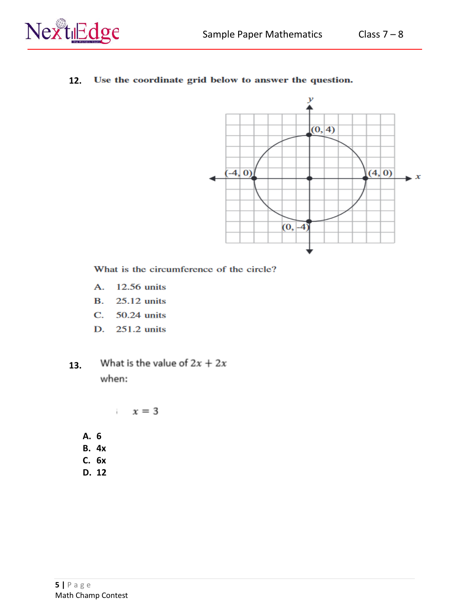

#### **12.** Use the coordinate grid below to answer the question.



What is the circumference of the circle?

- A. 12.56 units
- **B.**  $25.12$  units
- C. 50.24 units
- D. 251.2 units
- What is the value of  $2x + 2x$ **13.** when:

 $x = 3$ 

- **A. 6**
- **B. 4x**
- **C. 6x**
- **D. 12**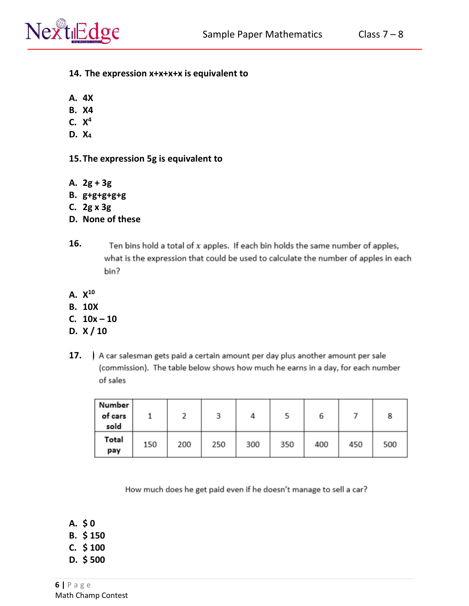

- **14. The expression x+x+x+x is equivalent to**
- **A. 4X**
- **B. X4**
- **C. X 4**
- **D. X<sup>4</sup>**
- **15.The expression 5g is equivalent to**
- **A. 2g + 3g**
- **B. g+g+g+g+g**
- **C. 2g x 3g**
- **D. None of these**
- **16.** Ten bins hold a total of  $x$  apples. If each bin holds the same number of apples, what is the expression that could be used to calculate the number of apples in each bin?
- **A. X 10**
- **B. 10X**
- **C. 10x – 10**
- **D. X / 10**
- **17.** A car salesman gets paid a certain amount per day plus another amount per sale (commission). The table below shows how much he earns in a day, for each number of sales

| Number<br>of cars<br>sold |     |     |     |     |     | P   |     | 8   |
|---------------------------|-----|-----|-----|-----|-----|-----|-----|-----|
| Total<br>pay              | 150 | 200 | 250 | 300 | 350 | 400 | 450 | 500 |

How much does he get paid even if he doesn't manage to sell a car?

- **A. \$ 0**
- **B. \$ 150**
- **C. \$ 100**
- **D. \$ 500**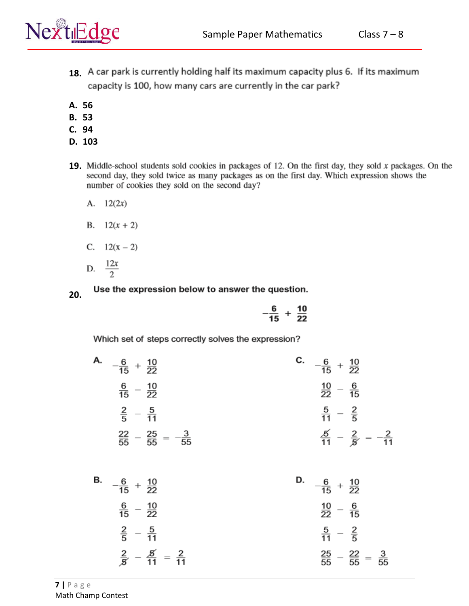

- 18. A car park is currently holding half its maximum capacity plus 6. If its maximum capacity is 100, how many cars are currently in the car park?
- **A. 56**
- **B. 53**
- **C. 94**
- **D. 103**
- 19. Middle-school students sold cookies in packages of 12. On the first day, they sold x packages. On the second day, they sold twice as many packages as on the first day. Which expression shows the number of cookies they sold on the second day?
	- A.  $12(2x)$
	- B.  $12(x + 2)$
	- C.  $12(x 2)$
	- D.  $\frac{12x}{2}$

#### Use the expression below to answer the question.

**20.**

Which set of steps correctly solves the expression?

| A. $-\frac{6}{15} + \frac{10}{22}$              | <b>C.</b> $-\frac{6}{15} + \frac{10}{22}$    |
|-------------------------------------------------|----------------------------------------------|
| $\frac{6}{15}$ - $\frac{10}{22}$                | $\frac{10}{22} - \frac{6}{15}$               |
| $rac{2}{5} - \frac{5}{11}$                      | $\frac{5}{11} - \frac{2}{5}$                 |
| $\frac{22}{55} - \frac{25}{55} = -\frac{3}{55}$ | $\frac{5}{11} - \frac{2}{5} = -\frac{2}{11}$ |

| <b>B.</b> $-\frac{6}{15} + \frac{10}{22}$   | <b>D.</b> $-\frac{6}{15} + \frac{10}{22}$      |
|---------------------------------------------|------------------------------------------------|
| $\frac{6}{15} - \frac{10}{22}$              | $\frac{10}{22} - \frac{6}{15}$                 |
| $rac{2}{5} - \frac{5}{11}$                  | $\frac{5}{11} - \frac{2}{5}$                   |
| $\frac{2}{5} - \frac{5}{11} = \frac{2}{11}$ | $\frac{25}{55} - \frac{22}{55} = \frac{3}{55}$ |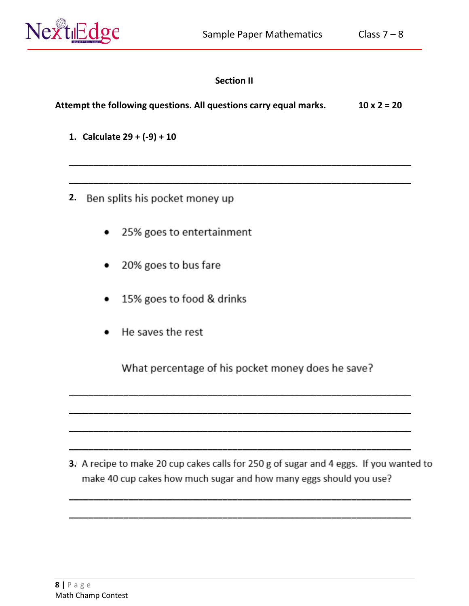



Class  $7 - 8$ 

# **Section II**

| Attempt the following questions. All questions carry equal marks. | $10 \times 2 = 20$ |
|-------------------------------------------------------------------|--------------------|
|                                                                   |                    |

- 1. Calculate  $29 + (-9) + 10$
- 2. Ben splits his pocket money up
	- 25% goes to entertainment
	- 20% goes to bus fare
	- 15% goes to food & drinks ٠
	- He saves the rest

What percentage of his pocket money does he save?

3. A recipe to make 20 cup cakes calls for 250 g of sugar and 4 eggs. If you wanted to make 40 cup cakes how much sugar and how many eggs should you use?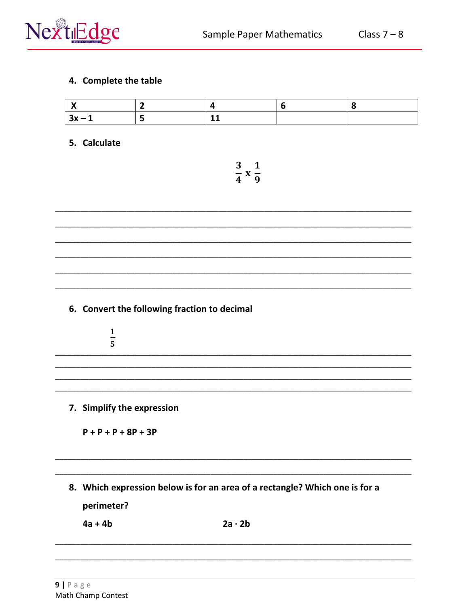

### 4. Complete the table

#### 5. Calculate

 $\frac{3}{4} \times \frac{1}{9}$ 

- 6. Convert the following fraction to decimal
	- $\frac{1}{5}$
- 7. Simplify the expression

 $P + P + P + 8P + 3P$ 

8. Which expression below is for an area of a rectangle? Which one is for a perimeter?

 $4a + 4b$ 

 $2a \cdot 2b$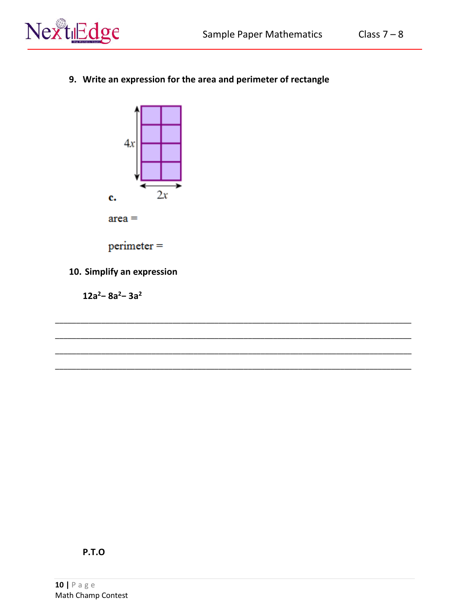



 $perimeter =$ 

10. Simplify an expression

 $12a^2 - 8a^2 - 3a^2$ 

### P.T.O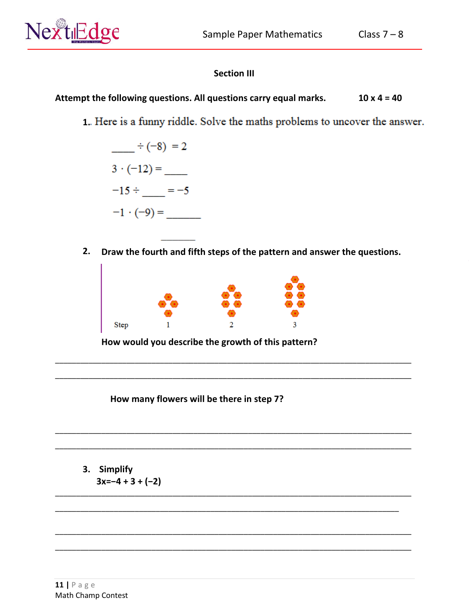

# **Section III**

Attempt the following questions. All questions carry equal marks.  $10 \times 4 = 40$ 

1. Here is a funny riddle. Solve the maths problems to uncover the answer.



2. Draw the fourth and fifth steps of the pattern and answer the questions.



How would you describe the growth of this pattern?

How many flowers will be there in step 7?

3. Simplify  $3x=-4+3+(-2)$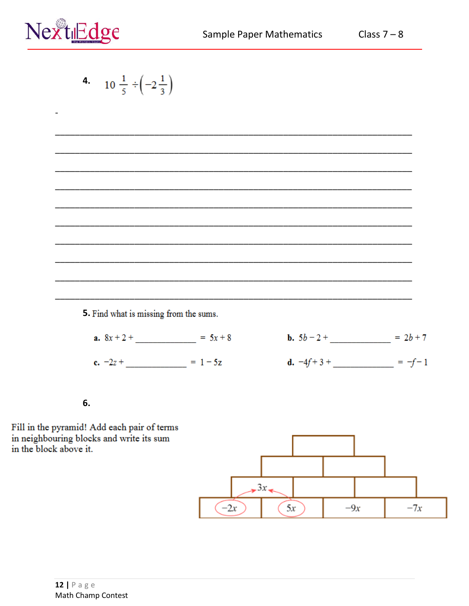

4. 
$$
10 \frac{1}{5} \div \left(-2 \frac{1}{3}\right)
$$
  
\n  
\n5. Find what is missing from the sums.  
\n  
\n**a.**  $8x + 2 +$  \_\_\_\_\_\_ =  $5x + 8$   
\n**b.**  $5b - 2 +$  \_\_\_\_\_\_ =  $2b + 7$   
\n**c.**  $-2z +$  \_\_\_\_\_\_ =  $1 - 5z$   
\n**d.**  $-4f + 3 +$  \_\_\_\_\_\_ =  $-f - 1$   
\n**6.**

Fill in the pyramid! Add each pair of terms<br>in neighbouring blocks and write its sum in the block above it.

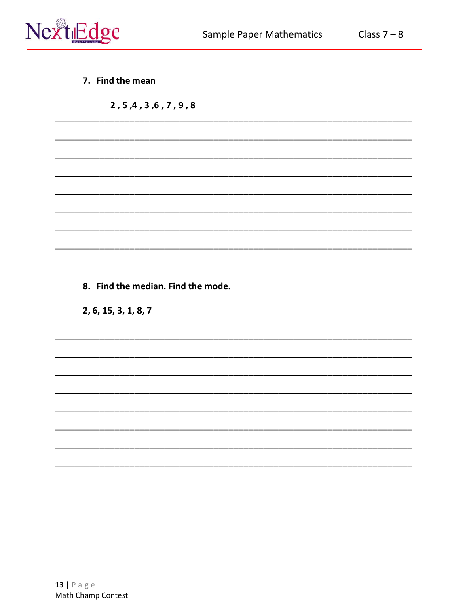

7. Find the mean

2, 5, 4, 3, 6, 7, 9, 8

8. Find the median. Find the mode.

2, 6, 15, 3, 1, 8, 7